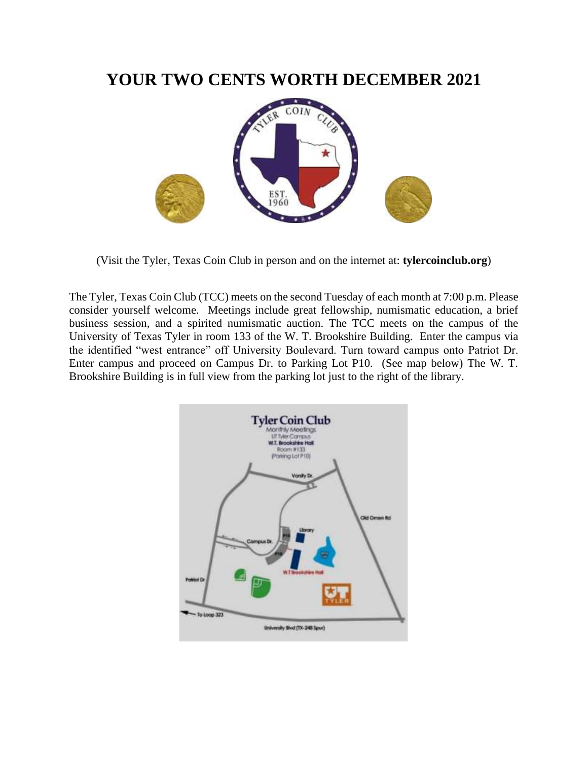# **YOUR TWO CENTS WORTH DECEMBER 2021**



(Visit the Tyler, Texas Coin Club in person and on the internet at: **tylercoinclub.org**)

The Tyler, Texas Coin Club (TCC) meets on the second Tuesday of each month at 7:00 p.m. Please consider yourself welcome. Meetings include great fellowship, numismatic education, a brief business session, and a spirited numismatic auction. The TCC meets on the campus of the University of Texas Tyler in room 133 of the W. T. Brookshire Building. Enter the campus via the identified "west entrance" off University Boulevard. Turn toward campus onto Patriot Dr. Enter campus and proceed on Campus Dr. to Parking Lot P10. (See map below) The W. T. Brookshire Building is in full view from the parking lot just to the right of the library.

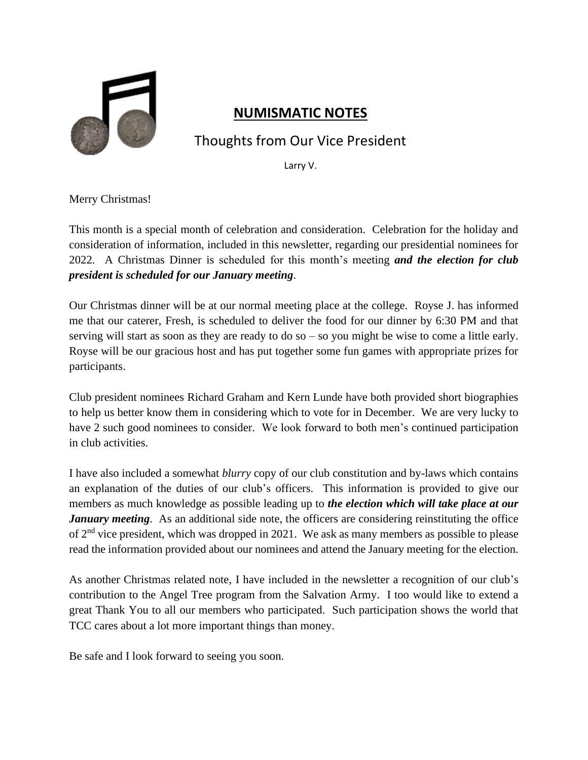

### **NUMISMATIC NOTES**

# Thoughts from Our Vice President

Larry V.

Merry Christmas!

This month is a special month of celebration and consideration. Celebration for the holiday and consideration of information, included in this newsletter, regarding our presidential nominees for 2022. A Christmas Dinner is scheduled for this month's meeting *and the election for club president is scheduled for our January meeting*.

Our Christmas dinner will be at our normal meeting place at the college. Royse J. has informed me that our caterer, Fresh, is scheduled to deliver the food for our dinner by 6:30 PM and that serving will start as soon as they are ready to do so – so you might be wise to come a little early. Royse will be our gracious host and has put together some fun games with appropriate prizes for participants.

Club president nominees Richard Graham and Kern Lunde have both provided short biographies to help us better know them in considering which to vote for in December. We are very lucky to have 2 such good nominees to consider. We look forward to both men's continued participation in club activities.

I have also included a somewhat *blurry* copy of our club constitution and by-laws which contains an explanation of the duties of our club's officers. This information is provided to give our members as much knowledge as possible leading up to *the election which will take place at our January meeting*. As an additional side note, the officers are considering reinstituting the office of 2<sup>nd</sup> vice president, which was dropped in 2021. We ask as many members as possible to please read the information provided about our nominees and attend the January meeting for the election.

As another Christmas related note, I have included in the newsletter a recognition of our club's contribution to the Angel Tree program from the Salvation Army. I too would like to extend a great Thank You to all our members who participated. Such participation shows the world that TCC cares about a lot more important things than money.

Be safe and I look forward to seeing you soon.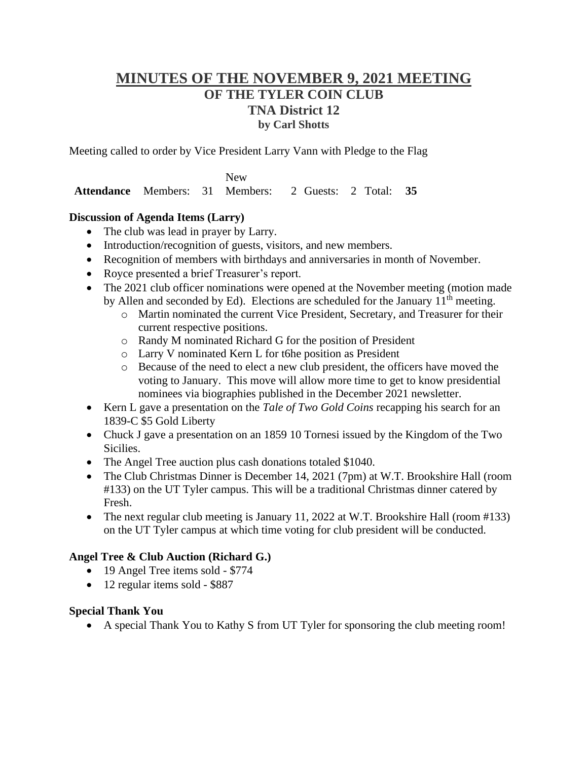### **MINUTES OF THE NOVEMBER 9, 2021 MEETING OF THE TYLER COIN CLUB TNA District 12 by Carl Shotts**

Meeting called to order by Vice President Larry Vann with Pledge to the Flag

**Attendance** Members: 31 New Members: 2 Guests: 2 Total: **35**

#### **Discussion of Agenda Items (Larry)**

- The club was lead in prayer by Larry.
- Introduction/recognition of guests, visitors, and new members.
- Recognition of members with birthdays and anniversaries in month of November.
- Royce presented a brief Treasurer's report.
- The 2021 club officer nominations were opened at the November meeting (motion made by Allen and seconded by Ed). Elections are scheduled for the January  $11<sup>th</sup>$  meeting.
	- o Martin nominated the current Vice President, Secretary, and Treasurer for their current respective positions.
	- o Randy M nominated Richard G for the position of President
	- o Larry V nominated Kern L for t6he position as President
	- o Because of the need to elect a new club president, the officers have moved the voting to January. This move will allow more time to get to know presidential nominees via biographies published in the December 2021 newsletter.
- Kern L gave a presentation on the *Tale of Two Gold Coins* recapping his search for an 1839-C \$5 Gold Liberty
- Chuck J gave a presentation on an 1859 10 Tornesi issued by the Kingdom of the Two Sicilies.
- The Angel Tree auction plus cash donations totaled \$1040.
- The Club Christmas Dinner is December 14, 2021 (7pm) at W.T. Brookshire Hall (room #133) on the UT Tyler campus. This will be a traditional Christmas dinner catered by Fresh.
- The next regular club meeting is January 11, 2022 at W.T. Brookshire Hall (room #133) on the UT Tyler campus at which time voting for club president will be conducted.

#### **Angel Tree & Club Auction (Richard G.)**

- 19 Angel Tree items sold \$774
- 12 regular items sold \$887

#### **Special Thank You**

• A special Thank You to Kathy S from UT Tyler for sponsoring the club meeting room!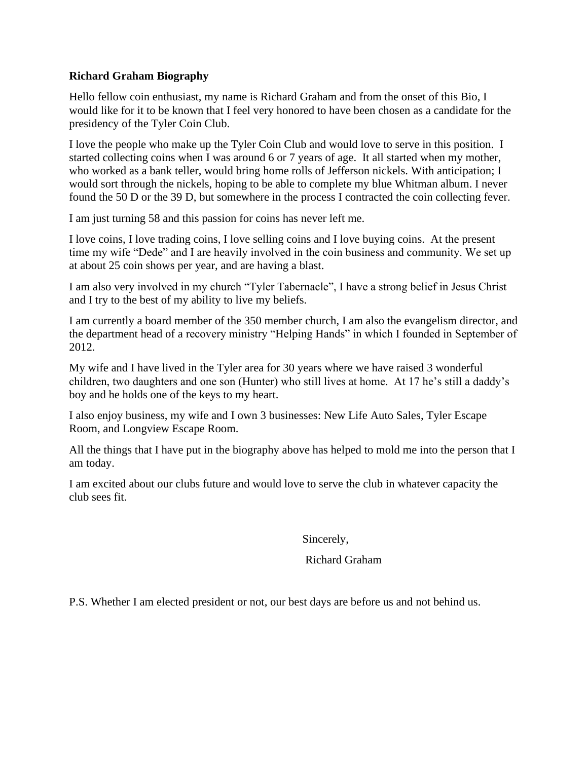#### **Richard Graham Biography**

Hello fellow coin enthusiast, my name is Richard Graham and from the onset of this Bio, I would like for it to be known that I feel very honored to have been chosen as a candidate for the presidency of the Tyler Coin Club.

I love the people who make up the Tyler Coin Club and would love to serve in this position. I started collecting coins when I was around 6 or 7 years of age. It all started when my mother, who worked as a bank teller, would bring home rolls of Jefferson nickels. With anticipation; I would sort through the nickels, hoping to be able to complete my blue Whitman album. I never found the 50 D or the 39 D, but somewhere in the process I contracted the coin collecting fever.

I am just turning 58 and this passion for coins has never left me.

I love coins, I love trading coins, I love selling coins and I love buying coins. At the present time my wife "Dede" and I are heavily involved in the coin business and community. We set up at about 25 coin shows per year, and are having a blast.

I am also very involved in my church "Tyler Tabernacle", I have a strong belief in Jesus Christ and I try to the best of my ability to live my beliefs.

I am currently a board member of the 350 member church, I am also the evangelism director, and the department head of a recovery ministry "Helping Hands" in which I founded in September of 2012.

My wife and I have lived in the Tyler area for 30 years where we have raised 3 wonderful children, two daughters and one son (Hunter) who still lives at home. At 17 he's still a daddy's boy and he holds one of the keys to my heart.

I also enjoy business, my wife and I own 3 businesses: New Life Auto Sales, Tyler Escape Room, and Longview Escape Room.

All the things that I have put in the biography above has helped to mold me into the person that I am today.

I am excited about our clubs future and would love to serve the club in whatever capacity the club sees fit.

Sincerely,

#### Richard Graham

P.S. Whether I am elected president or not, our best days are before us and not behind us.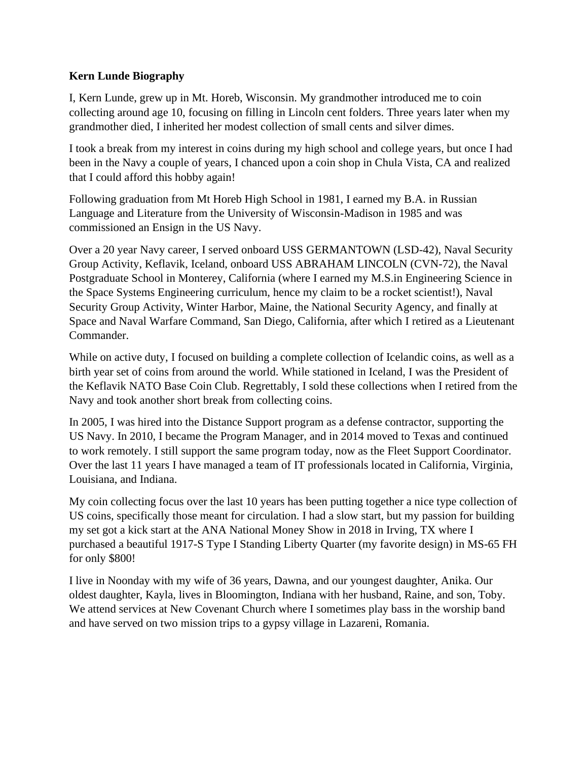#### **Kern Lunde Biography**

I, Kern Lunde, grew up in Mt. Horeb, Wisconsin. My grandmother introduced me to coin collecting around age 10, focusing on filling in Lincoln cent folders. Three years later when my grandmother died, I inherited her modest collection of small cents and silver dimes.

I took a break from my interest in coins during my high school and college years, but once I had been in the Navy a couple of years, I chanced upon a coin shop in Chula Vista, CA and realized that I could afford this hobby again!

Following graduation from Mt Horeb High School in 1981, I earned my B.A. in Russian Language and Literature from the University of Wisconsin-Madison in 1985 and was commissioned an Ensign in the US Navy.

Over a 20 year Navy career, I served onboard USS GERMANTOWN (LSD-42), Naval Security Group Activity, Keflavik, Iceland, onboard USS ABRAHAM LINCOLN (CVN-72), the Naval Postgraduate School in Monterey, California (where I earned my M.S.in Engineering Science in the Space Systems Engineering curriculum, hence my claim to be a rocket scientist!), Naval Security Group Activity, Winter Harbor, Maine, the National Security Agency, and finally at Space and Naval Warfare Command, San Diego, California, after which I retired as a Lieutenant Commander.

While on active duty, I focused on building a complete collection of Icelandic coins, as well as a birth year set of coins from around the world. While stationed in Iceland, I was the President of the Keflavik NATO Base Coin Club. Regrettably, I sold these collections when I retired from the Navy and took another short break from collecting coins.

In 2005, I was hired into the Distance Support program as a defense contractor, supporting the US Navy. In 2010, I became the Program Manager, and in 2014 moved to Texas and continued to work remotely. I still support the same program today, now as the Fleet Support Coordinator. Over the last 11 years I have managed a team of IT professionals located in California, Virginia, Louisiana, and Indiana.

My coin collecting focus over the last 10 years has been putting together a nice type collection of US coins, specifically those meant for circulation. I had a slow start, but my passion for building my set got a kick start at the ANA National Money Show in 2018 in Irving, TX where I purchased a beautiful 1917-S Type I Standing Liberty Quarter (my favorite design) in MS-65 FH for only \$800!

I live in Noonday with my wife of 36 years, Dawna, and our youngest daughter, Anika. Our oldest daughter, Kayla, lives in Bloomington, Indiana with her husband, Raine, and son, Toby. We attend services at New Covenant Church where I sometimes play bass in the worship band and have served on two mission trips to a gypsy village in Lazareni, Romania.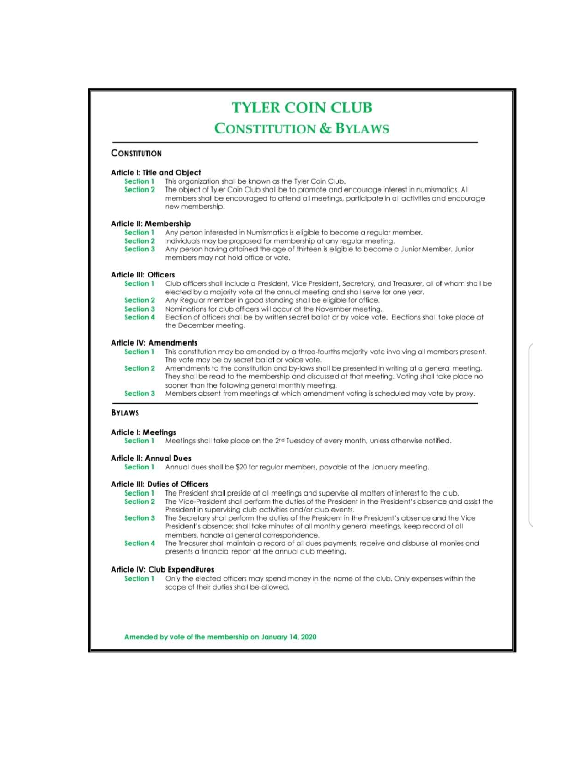#### **TYLER COIN CLUB CONSTITUTION & BYLAWS CONSTITUTION** Article I: Title and Object This organization shall be known as the Tyler Coin Club. Section 1 **Section 2** The object of Tyler Coin Club shall be to promote and encourage interest in numismatics. All members shall be encouraged to attend all meetings, participate in all activities and encourage new membership. Article II: Membership Any person interested in Numismatics is eligible to become a regular member. Section 1 Section 2 Individuals may be proposed for membership at any regular meeting. Section 3 Any person having attained the age of thirteen is eligible to become a Junior Member. Junior members may not hold office or vote. **Article III: Officers** Section 1 Club officers shall include a President, Vice President, Secretary, and Treasurer, all of whom shall be elected by a majority vote at the annual meeting and shall serve for one year. Section 2 Any Regular member in good standing shall be eligible for office. Section 3 Nominations for club officers will occur at the November meeting. **Section 4** Election of officers shall be by written secret ballot or by voice vote. Elections shall take place at the December meeting. **Article IV: Amendments** Section 1 This constitution may be amended by a three-fourths majority vote involving all members present. The vote may be by secret ballot or voice vote. Section 2 Amendments to the constitution and by-laws shall be presented in writing at a general meeting. They shall be read to the membership and discussed at that meeting. Voting shall take place no sooner than the folowing general monthly meeting. Section 3 Members absent from meetings at which amendment voting is scheduled may vote by proxy. **BYLAWS Article I: Meetings** Section 1 Meetings shall take place on the 2nd Tuesday of every month, unless otherwise notified. **Article II: Annual Dues** Section 1 Annual dues shall be \$20 for regular members, payable at the January meeting. **Article III: Duties of Officers** Section 1 The President shall preside at all meetings and supervise all matters of interest to the club. Section 2 The Vice-President shall perform the duties of the President in the President's absence and assist the President in supervising club activities and/or club events. Section 3 The Secretary shall perform the duties of the President in the President's absence and the Vice President's absence; shall take minutes of all monthly general meetings, keep record of all members, handle all general correspondence. Section 4 The Treasurer shall maintain a record of all dues payments, receive and disburse all monies and presents a financial report at the annual club meeting. Article IV: Club Expenditures Section 1 Only the elected officers may spend money in the name of the club. Only expenses within the scope of their duties shall be allowed.

Amended by vote of the membership on January 14, 2020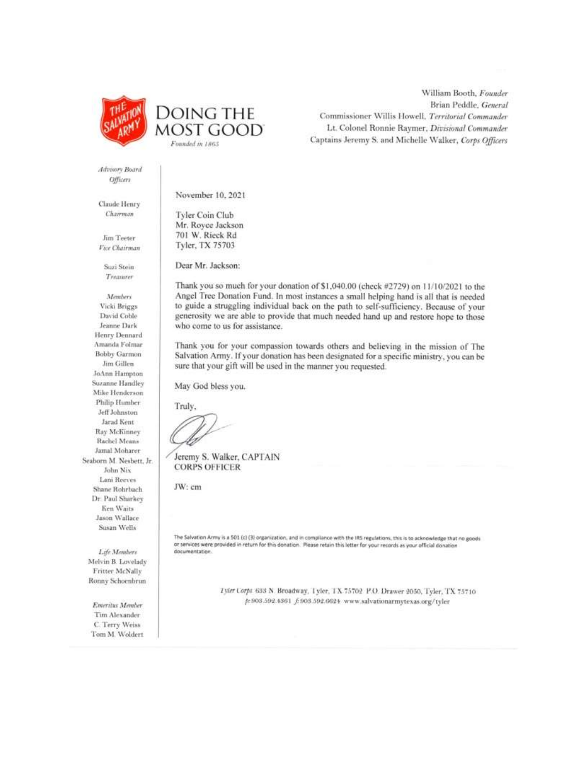



William Booth, Founder Brian Peddle, General Commissioner Willis Howell, Territorial Commander Lt. Colonel Ronnie Raymer, Divisional Commander Captains Jeremy S. and Michelle Walker, Corps Officers

Advisory Board Officers

Claude Henry Chairman

Jim Teeter Vice Chairman

> Suzi Stein Treasurer

Members Vicki Briggs David Coble Jeanne Dark Henry Dennard Amanda Folmar Bobby Garmon Jim Gillen JoAnn Hampton Suzanne Handley Mike Henderson Philip Humber Jeff Johnston Jarad Kent **Ray McKinney** Rachel Means Jamal Moharer Seaborn M. Nesbett, Jr. John Nix Lani Reeves Shane Rohrbach Dr. Paul Sharkey Ken Waits Jason Wallace Susan Wells

Life Members Melvin B. Lovelady Fritter McNally Ronny Schoenbrun

Emeritus Member Tim Alexander C. Terry Weiss Tom M. Woldert November 10, 2021

Tyler Coin Club Mr. Rovce Jackson 701 W. Rieck Rd Tyler, TX 75703

Dear Mr. Jackson:

Thank you so much for your donation of \$1,040.00 (check #2729) on 11/10/2021 to the Angel Tree Donation Fund. In most instances a small helping hand is all that is needed to guide a struggling individual back on the path to self-sufficiency. Because of your generosity we are able to provide that much needed hand up and restore hope to those who come to us for assistance.

Thank you for your compassion towards others and believing in the mission of The Salvation Army. If your donation has been designated for a specific ministry, you can be sure that your gift will be used in the manner you requested.

May God bless you.

Truly,

Jeremy S. Walker, CAPTAIN **CORPS OFFICER** 

JW: cm

The Salvation Army is a 501 (c) (3) organization, and in compliance with the IRS regulations, this is to acknowledge that no goods or services were provided in return for this donation. Please retain this letter for your records as your official donation documentation

> Tyler Corps 633 N. Broadway, Tyler, TX 75702 P.O. Drawer 2050, Tyler, TX 75710 p:503.592.4361 f:503.592.6624 www.salvationarmytexas.org/tyler